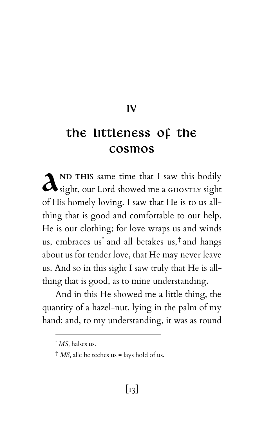IV

## The Littleness of the Cosmos

**ND THIS** same time that I saw this bodily A <sup>ND</sup> THIS same time that I saw this bodily sight, our Lord showed me a GHOSTLY sight of His homely loving. I saw that He is to us allthing that is good and comfortable to our help. He is our clothing; for love wraps us and winds us, embraces us\* and all betakes us,† and hangs about us for tender love, that He may never leave us. And so in this sight I saw truly that He is allthing that is good, as to mine understanding.

And in this He showed me a little thing, the quantity of a hazel-nut, lying in the palm of my hand; and, to my understanding, it was as round

<sup>\*</sup> *MS,* halses us.

<sup>†</sup> *MS,* alle be teches us = lays hold of us.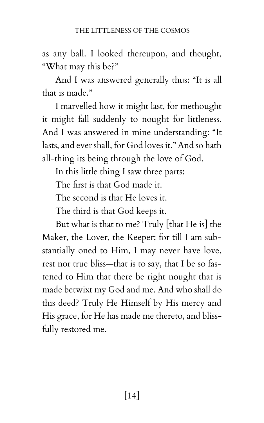as any ball. I looked thereupon, and thought, "What may this be?"

And I was answered generally thus: "It is all that is made."

I marvelled how it might last, for methought it might fall suddenly to nought for littleness. And I was answered in mine understanding: "It lasts, and ever shall, for God loves it." And so hath all-thing its being through the love of God.

In this little thing I saw three parts:

The first is that God made it.

The second is that He loves it.

The third is that God keeps it.

But what is that to me? Truly [that He is] the Maker, the Lover, the Keeper; for till I am substantially oned to Him, I may never have love, rest nor true bliss—that is to say, that I be so fastened to Him that there be right nought that is made betwixt my God and me. And who shall do this deed? Truly He Himself by His mercy and His grace, for He has made me thereto, and blissfully restored me.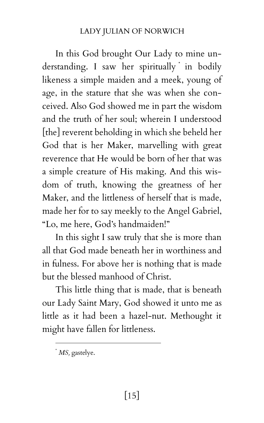## LADY JULIAN OF NORWICH

In this God brought Our Lady to mine understanding. I saw her spiritually \* in bodily likeness a simple maiden and a meek, young of age, in the stature that she was when she conceived. Also God showed me in part the wisdom and the truth of her soul; wherein I understood [the] reverent beholding in which she beheld her God that is her Maker, marvelling with great reverence that He would be born of her that was a simple creature of His making. And this wisdom of truth, knowing the greatness of her Maker, and the littleness of herself that is made, made her for to say meekly to the Angel Gabriel, "Lo, me here, God's handmaiden!"

In this sight I saw truly that she is more than all that God made beneath her in worthiness and in fulness. For above her is nothing that is made but the blessed manhood of Christ.

This little thing that is made, that is beneath our Lady Saint Mary, God showed it unto me as little as it had been a hazel-nut. Methought it might have fallen for littleness.

<sup>\*</sup> *MS,* gastelye.